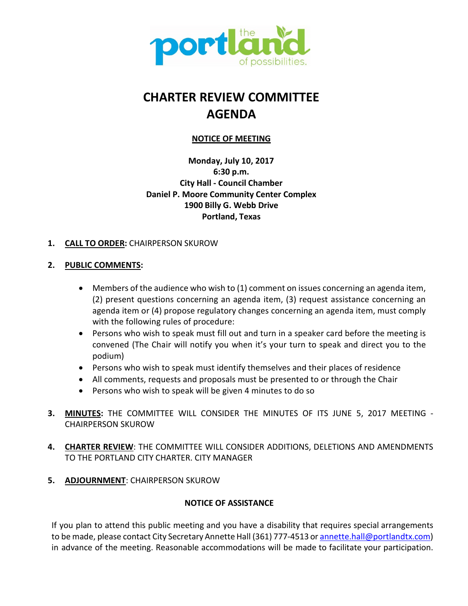

# **CHARTER REVIEW COMMITTEE AGENDA**

# **NOTICE OF MEETING**

**Monday, July 10, 2017 6:30 p.m. City Hall - Council Chamber Daniel P. Moore Community Center Complex 1900 Billy G. Webb Drive Portland, Texas**

# **1. CALL TO ORDER:** CHAIRPERSON SKUROW

# **2. PUBLIC COMMENTS:**

- Members of the audience who wish to (1) comment on issues concerning an agenda item, (2) present questions concerning an agenda item, (3) request assistance concerning an agenda item or (4) propose regulatory changes concerning an agenda item, must comply with the following rules of procedure:
- Persons who wish to speak must fill out and turn in a speaker card before the meeting is convened (The Chair will notify you when it's your turn to speak and direct you to the podium)
- Persons who wish to speak must identify themselves and their places of residence
- All comments, requests and proposals must be presented to or through the Chair
- Persons who wish to speak will be given 4 minutes to do so
- **3. MINUTES:** THE COMMITTEE WILL CONSIDER THE MINUTES OF ITS JUNE 5, 2017 MEETING CHAIRPERSON SKUROW
- **4. CHARTER REVIEW**: THE COMMITTEE WILL CONSIDER ADDITIONS, DELETIONS AND AMENDMENTS TO THE PORTLAND CITY CHARTER. CITY MANAGER
- **5. ADJOURNMENT**: CHAIRPERSON SKUROW

# **NOTICE OF ASSISTANCE**

If you plan to attend this public meeting and you have a disability that requires special arrangements to be made, please contact City Secretary Annette Hall (361) 777-4513 or annette.hall@portlandtx.com) in advance of the meeting. Reasonable accommodations will be made to facilitate your participation.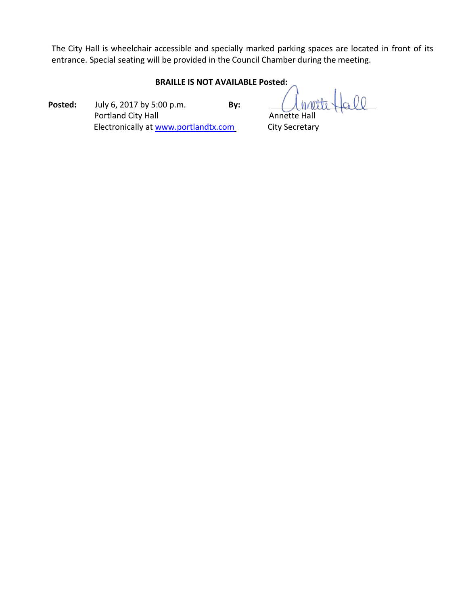The City Hall is wheelchair accessible and specially marked parking spaces are located in front of its entrance. Special seating will be provided in the Council Chamber during the meeting.

## **BRAILLE IS NOT AVAILABLE Posted:**

**Posted:** July 6, 2017 by 5:00 p.m. **By:** Portland City Hall **Annette Hall** Annette Hall Electronically at [www.portlandtx.com](http://www.portlandtx.com/) City Secretary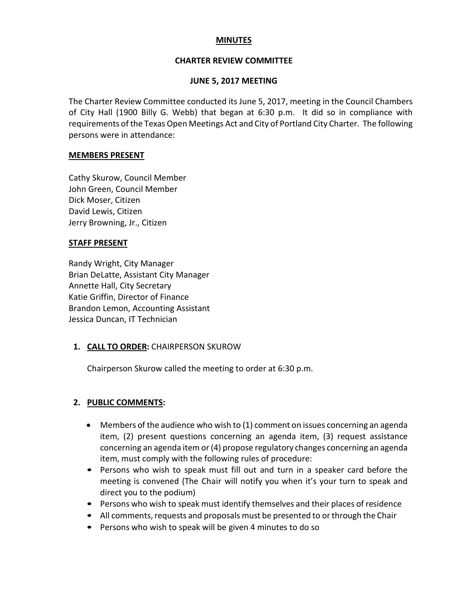## **MINUTES**

## **CHARTER REVIEW COMMITTEE**

#### **JUNE 5, 2017 MEETING**

The Charter Review Committee conducted its June 5, 2017, meeting in the Council Chambers of City Hall (1900 Billy G. Webb) that began at 6:30 p.m. It did so in compliance with requirements of the Texas Open Meetings Act and City of Portland City Charter. The following persons were in attendance:

#### **MEMBERS PRESENT**

Cathy Skurow, Council Member John Green, Council Member Dick Moser, Citizen David Lewis, Citizen Jerry Browning, Jr., Citizen

#### **STAFF PRESENT**

Randy Wright, City Manager Brian DeLatte, Assistant City Manager Annette Hall, City Secretary Katie Griffin, Director of Finance Brandon Lemon, Accounting Assistant Jessica Duncan, IT Technician

## **1. CALL TO ORDER:** CHAIRPERSON SKUROW

Chairperson Skurow called the meeting to order at 6:30 p.m.

## **2. PUBLIC COMMENTS:**

- Members of the audience who wish to (1) comment on issues concerning an agenda item, (2) present questions concerning an agenda item, (3) request assistance concerning an agenda item or(4) propose regulatory changes concerning an agenda item, must comply with the following rules of procedure:
- Persons who wish to speak must fill out and turn in a speaker card before the meeting is convened (The Chair will notify you when it's your turn to speak and direct you to the podium)
- Persons who wish to speak must identify themselves and their places of residence
- All comments, requests and proposals must be presented to or through the Chair
- Persons who wish to speak will be given 4 minutes to do so